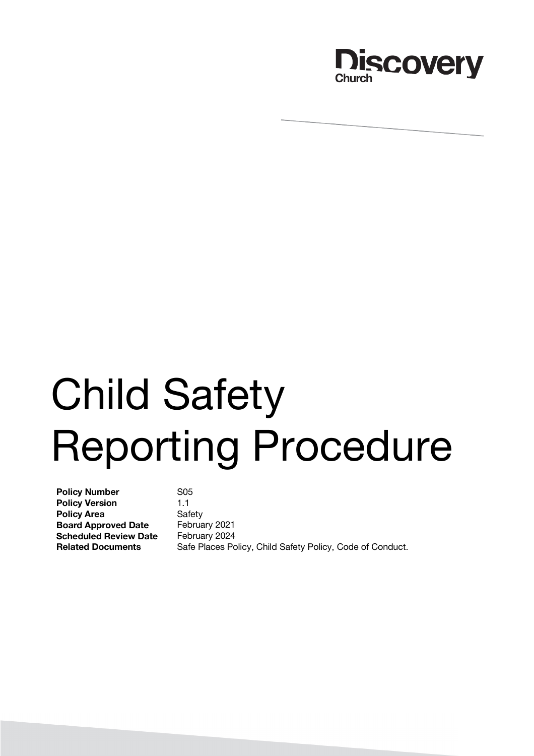

# Child Safety Reporting Procedure

**Policy Number** S05 **Policy Version** 1.1 **Policy Area** Safety **Board Approved Date** February 2021 **Scheduled Review Date** February 2024

**Related Documents** Safe Places Policy, Child Safety Policy, Code of Conduct.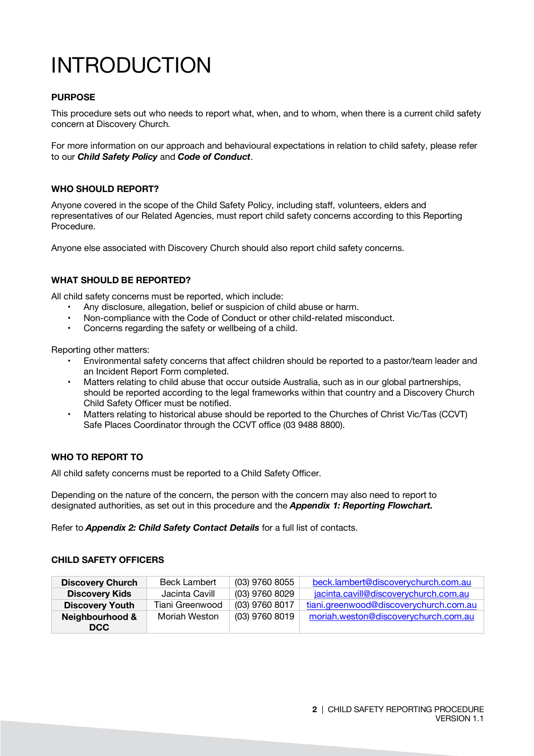# INTRODUCTION

#### **PURPOSE**

This procedure sets out who needs to report what, when, and to whom, when there is a current child safety concern at Discovery Church.

For more information on our approach and behavioural expectations in relation to child safety, please refer to our *Child Safety Policy* and *Code of Conduct*.

#### **WHO SHOULD REPORT?**

Anyone covered in the scope of the Child Safety Policy, including staff, volunteers, elders and representatives of our Related Agencies, must report child safety concerns according to this Reporting Procedure.

Anyone else associated with Discovery Church should also report child safety concerns.

#### **WHAT SHOULD BE REPORTED?**

All child safety concerns must be reported, which include:

- Any disclosure, allegation, belief or suspicion of child abuse or harm.
- Non-compliance with the Code of Conduct or other child-related misconduct.
- Concerns regarding the safety or wellbeing of a child.

Reporting other matters:

- Environmental safety concerns that affect children should be reported to a pastor/team leader and an Incident Report Form completed.
- Matters relating to child abuse that occur outside Australia, such as in our global partnerships, should be reported according to the legal frameworks within that country and a Discovery Church Child Safety Officer must be notified.
- Matters relating to historical abuse should be reported to the Churches of Christ Vic/Tas (CCVT) Safe Places Coordinator through the CCVT office (03 9488 8800).

#### **WHO TO REPORT TO**

All child safety concerns must be reported to a Child Safety Officer.

Depending on the nature of the concern, the person with the concern may also need to report to designated authorities, as set out in this procedure and the *Appendix 1: Reporting Flowchart.*

Refer to *Appendix 2: Child Safety Contact Details* for a full list of contacts.

#### **CHILD SAFETY OFFICERS**

| <b>Discovery Church</b> | <b>Beck Lambert</b> | (03) 9760 8055 | beck.lambert@discoverychurch.com.au    |
|-------------------------|---------------------|----------------|----------------------------------------|
| <b>Discovery Kids</b>   | Jacinta Cavill      | (03) 9760 8029 | jacinta.cavill@discoverychurch.com.au  |
| <b>Discovery Youth</b>  | Tiani Greenwood     | (03) 9760 8017 | tiani.greenwood@discoverychurch.com.au |
| Neighbourhood &         | Moriah Weston       | (03) 9760 8019 | moriah.weston@discoverychurch.com.au   |
| DCC.                    |                     |                |                                        |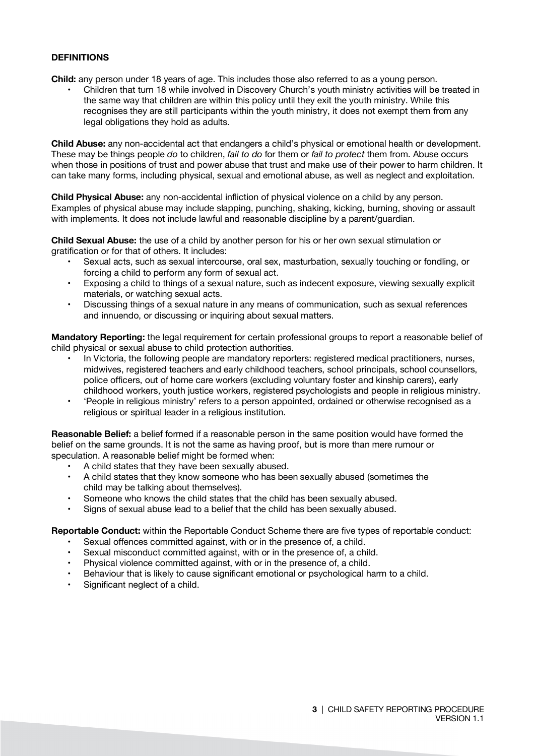#### **DEFINITIONS**

**Child:** any person under 18 years of age. This includes those also referred to as a young person.

• Children that turn 18 while involved in Discovery Church's youth ministry activities will be treated in the same way that children are within this policy until they exit the youth ministry. While this recognises they are still participants within the youth ministry, it does not exempt them from any legal obligations they hold as adults.

**Child Abuse:** any non-accidental act that endangers a child's physical or emotional health or development. These may be things people *do* to children, *fail to do* for them or *fail to protect* them from. Abuse occurs when those in positions of trust and power abuse that trust and make use of their power to harm children. It can take many forms, including physical, sexual and emotional abuse, as well as neglect and exploitation.

**Child Physical Abuse:** any non-accidental infliction of physical violence on a child by any person. Examples of physical abuse may include slapping, punching, shaking, kicking, burning, shoving or assault with implements. It does not include lawful and reasonable discipline by a parent/guardian.

**Child Sexual Abuse:** the use of a child by another person for his or her own sexual stimulation or gratification or for that of others. It includes:

- Sexual acts, such as sexual intercourse, oral sex, masturbation, sexually touching or fondling, or forcing a child to perform any form of sexual act.
- Exposing a child to things of a sexual nature, such as indecent exposure, viewing sexually explicit materials, or watching sexual acts.
- Discussing things of a sexual nature in any means of communication, such as sexual references and innuendo, or discussing or inquiring about sexual matters.

**Mandatory Reporting:** the legal requirement for certain professional groups to report a reasonable belief of child physical or sexual abuse to child protection authorities.

- In Victoria, the following people are mandatory reporters: registered medical practitioners, nurses, midwives, registered teachers and early childhood teachers, school principals, school counsellors, police officers, out of home care workers (excluding voluntary foster and kinship carers), early childhood workers, youth justice workers, registered psychologists and people in religious ministry.
- 'People in religious ministry' refers to a person appointed, ordained or otherwise recognised as a religious or spiritual leader in a religious institution.

**Reasonable Belief:** a belief formed if a reasonable person in the same position would have formed the belief on the same grounds. It is not the same as having proof, but is more than mere rumour or speculation. A reasonable belief might be formed when:

- A child states that they have been sexually abused.
- A child states that they know someone who has been sexually abused (sometimes the child may be talking about themselves).
- Someone who knows the child states that the child has been sexually abused.
- Signs of sexual abuse lead to a belief that the child has been sexually abused.

**Reportable Conduct:** within the Reportable Conduct Scheme there are five types of reportable conduct:

- Sexual offences committed against, with or in the presence of, a child.
- Sexual misconduct committed against, with or in the presence of, a child.
- Physical violence committed against, with or in the presence of, a child.
- Behaviour that is likely to cause significant emotional or psychological harm to a child.
- Significant neglect of a child.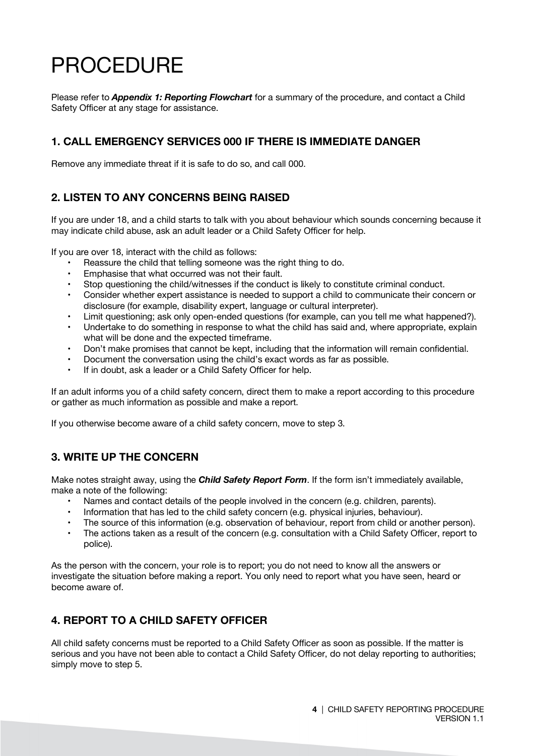# PROCEDURE

Please refer to *Appendix 1: Reporting Flowchart* for a summary of the procedure, and contact a Child Safety Officer at any stage for assistance.

#### **1. CALL EMERGENCY SERVICES 000 IF THERE IS IMMEDIATE DANGER**

Remove any immediate threat if it is safe to do so, and call 000.

#### **2. LISTEN TO ANY CONCERNS BEING RAISED**

If you are under 18, and a child starts to talk with you about behaviour which sounds concerning because it may indicate child abuse, ask an adult leader or a Child Safety Officer for help.

If you are over 18, interact with the child as follows:

- Reassure the child that telling someone was the right thing to do.
- Emphasise that what occurred was not their fault.
- Stop questioning the child/witnesses if the conduct is likely to constitute criminal conduct.
- Consider whether expert assistance is needed to support a child to communicate their concern or disclosure (for example, disability expert, language or cultural interpreter).
- Limit questioning; ask only open-ended questions (for example, can you tell me what happened?).
- Undertake to do something in response to what the child has said and, where appropriate, explain what will be done and the expected timeframe.
- Don't make promises that cannot be kept, including that the information will remain confidential.
- Document the conversation using the child's exact words as far as possible.
- If in doubt, ask a leader or a Child Safety Officer for help.

If an adult informs you of a child safety concern, direct them to make a report according to this procedure or gather as much information as possible and make a report.

If you otherwise become aware of a child safety concern, move to step 3.

#### **3. WRITE UP THE CONCERN**

Make notes straight away, using the *Child Safety Report Form*. If the form isn't immediately available, make a note of the following:

- Names and contact details of the people involved in the concern (e.g. children, parents).
- Information that has led to the child safety concern (e.g. physical injuries, behaviour).
- The source of this information (e.g. observation of behaviour, report from child or another person).
- The actions taken as a result of the concern (e.g. consultation with a Child Safety Officer, report to police).

As the person with the concern, your role is to report; you do not need to know all the answers or investigate the situation before making a report. You only need to report what you have seen, heard or become aware of.

#### **4. REPORT TO A CHILD SAFETY OFFICER**

All child safety concerns must be reported to a Child Safety Officer as soon as possible. If the matter is serious and you have not been able to contact a Child Safety Officer, do not delay reporting to authorities; simply move to step 5.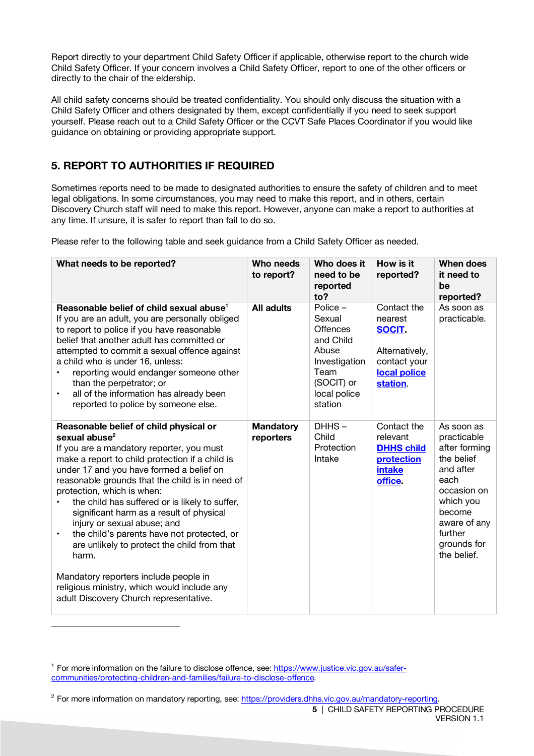Report directly to your department Child Safety Officer if applicable, otherwise report to the church wide Child Safety Officer. If your concern involves a Child Safety Officer, report to one of the other officers or directly to the chair of the eldership.

All child safety concerns should be treated confidentiality. You should only discuss the situation with a Child Safety Officer and others designated by them, except confidentially if you need to seek support yourself. Please reach out to a Child Safety Officer or the CCVT Safe Places Coordinator if you would like guidance on obtaining or providing appropriate support.

#### **5. REPORT TO AUTHORITIES IF REQUIRED**

Sometimes reports need to be made to designated authorities to ensure the safety of children and to meet legal obligations. In some circumstances, you may need to make this report, and in others, certain Discovery Church staff will need to make this report. However, anyone can make a report to authorities at any time. If unsure, it is safer to report than fail to do so.

Please refer to the following table and seek guidance from a Child Safety Officer as needed.

| What needs to be reported?                                                                                                                                                                                                                                                                                                                                                                                                                                                                                                                                                                                                                                                         | Who needs<br>to report?       | Who does it<br>need to be<br>reported<br>to?                                                                                  | How is it<br>reported?                                                                                | <b>When does</b><br>it need to<br>be<br>reported?                                                                                                                            |
|------------------------------------------------------------------------------------------------------------------------------------------------------------------------------------------------------------------------------------------------------------------------------------------------------------------------------------------------------------------------------------------------------------------------------------------------------------------------------------------------------------------------------------------------------------------------------------------------------------------------------------------------------------------------------------|-------------------------------|-------------------------------------------------------------------------------------------------------------------------------|-------------------------------------------------------------------------------------------------------|------------------------------------------------------------------------------------------------------------------------------------------------------------------------------|
| Reasonable belief of child sexual abuse <sup>1</sup><br>If you are an adult, you are personally obliged<br>to report to police if you have reasonable<br>belief that another adult has committed or<br>attempted to commit a sexual offence against<br>a child who is under 16, unless:<br>reporting would endanger someone other<br>than the perpetrator; or<br>all of the information has already been<br>$\bullet$<br>reported to police by someone else.                                                                                                                                                                                                                       | All adults                    | Police -<br>Sexual<br><b>Offences</b><br>and Child<br>Abuse<br>Investigation<br>Team<br>(SOCIT) or<br>local police<br>station | Contact the<br>nearest<br><b>SOCIT.</b><br>Alternatively,<br>contact your<br>local police<br>station. | As soon as<br>practicable.                                                                                                                                                   |
| Reasonable belief of child physical or<br>sexual abuse <sup>2</sup><br>If you are a mandatory reporter, you must<br>make a report to child protection if a child is<br>under 17 and you have formed a belief on<br>reasonable grounds that the child is in need of<br>protection, which is when:<br>the child has suffered or is likely to suffer,<br>significant harm as a result of physical<br>injury or sexual abuse; and<br>the child's parents have not protected, or<br>$\bullet$<br>are unlikely to protect the child from that<br>harm.<br>Mandatory reporters include people in<br>religious ministry, which would include any<br>adult Discovery Church representative. | <b>Mandatory</b><br>reporters | DHHS-<br>Child<br>Protection<br>Intake                                                                                        | Contact the<br>relevant<br><b>DHHS child</b><br>protection<br>intake<br>office.                       | As soon as<br>practicable<br>after forming<br>the belief<br>and after<br>each<br>occasion on<br>which you<br>become<br>aware of any<br>further<br>grounds for<br>the belief. |

 $\overline{a}$ 

<sup>1</sup> For more information on the failure to disclose offence, see: https://www.justice.vic.gov.au/safercommunities/protecting-children-and-families/failure-to-disclose-offence.

<sup>&</sup>lt;sup>2</sup> For more information on mandatory reporting, see: https://providers.dhhs.vic.gov.au/mandatory-reporting.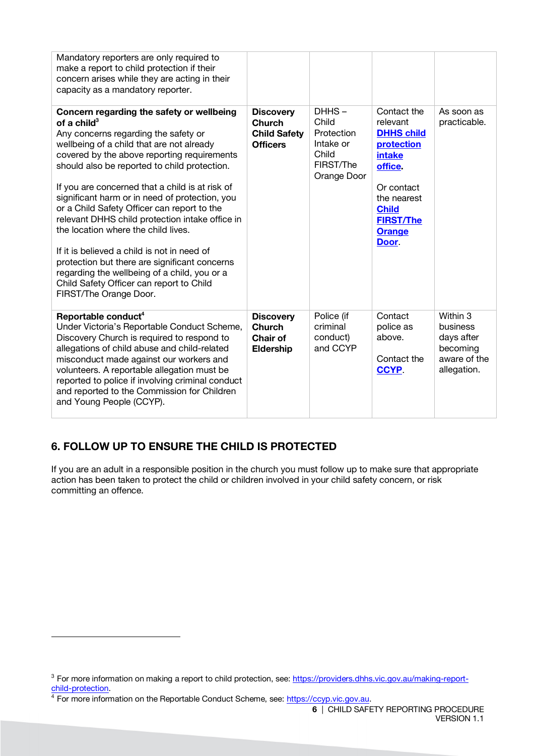| Mandatory reporters are only required to<br>make a report to child protection if their<br>concern arises while they are acting in their<br>capacity as a mandatory reporter.                                                                                                                                                                                                                          |                                                                             |                                                                                |                                                                                         |                                                                                      |
|-------------------------------------------------------------------------------------------------------------------------------------------------------------------------------------------------------------------------------------------------------------------------------------------------------------------------------------------------------------------------------------------------------|-----------------------------------------------------------------------------|--------------------------------------------------------------------------------|-----------------------------------------------------------------------------------------|--------------------------------------------------------------------------------------|
| Concern regarding the safety or wellbeing<br>of a child $3$<br>Any concerns regarding the safety or<br>wellbeing of a child that are not already<br>covered by the above reporting requirements<br>should also be reported to child protection.                                                                                                                                                       | <b>Discovery</b><br><b>Church</b><br><b>Child Safety</b><br><b>Officers</b> | DHHS-<br>Child<br>Protection<br>Intake or<br>Child<br>FIRST/The<br>Orange Door | Contact the<br>relevant<br><b>DHHS child</b><br>protection<br>intake<br>office.         | As soon as<br>practicable.                                                           |
| If you are concerned that a child is at risk of<br>significant harm or in need of protection, you<br>or a Child Safety Officer can report to the<br>relevant DHHS child protection intake office in<br>the location where the child lives.                                                                                                                                                            |                                                                             |                                                                                | Or contact<br>the nearest<br><b>Child</b><br><b>FIRST/The</b><br><b>Orange</b><br>Door. |                                                                                      |
| If it is believed a child is not in need of<br>protection but there are significant concerns<br>regarding the wellbeing of a child, you or a<br>Child Safety Officer can report to Child<br>FIRST/The Orange Door.                                                                                                                                                                                    |                                                                             |                                                                                |                                                                                         |                                                                                      |
| Reportable conduct <sup>4</sup><br>Under Victoria's Reportable Conduct Scheme,<br>Discovery Church is required to respond to<br>allegations of child abuse and child-related<br>misconduct made against our workers and<br>volunteers. A reportable allegation must be<br>reported to police if involving criminal conduct<br>and reported to the Commission for Children<br>and Young People (CCYP). | <b>Discovery</b><br>Church<br>Chair of<br><b>Eldership</b>                  | Police (if<br>criminal<br>conduct)<br>and CCYP                                 | Contact<br>police as<br>above.<br>Contact the<br><b>CCYP.</b>                           | Within 3<br><b>business</b><br>days after<br>becoming<br>aware of the<br>allegation. |

### **6. FOLLOW UP TO ENSURE THE CHILD IS PROTECTED**

If you are an adult in a responsible position in the church you must follow up to make sure that appropriate action has been taken to protect the child or children involved in your child safety concern, or risk committing an offence.

 $\overline{a}$ 

<sup>&</sup>lt;sup>3</sup> For more information on making a report to child protection, see: https://providers.dhhs.vic.gov.au/making-reportchild-protection.<br><sup>4</sup> For more information on the Reportable Conduct Scheme, see: https://ccyp.vic.gov.au.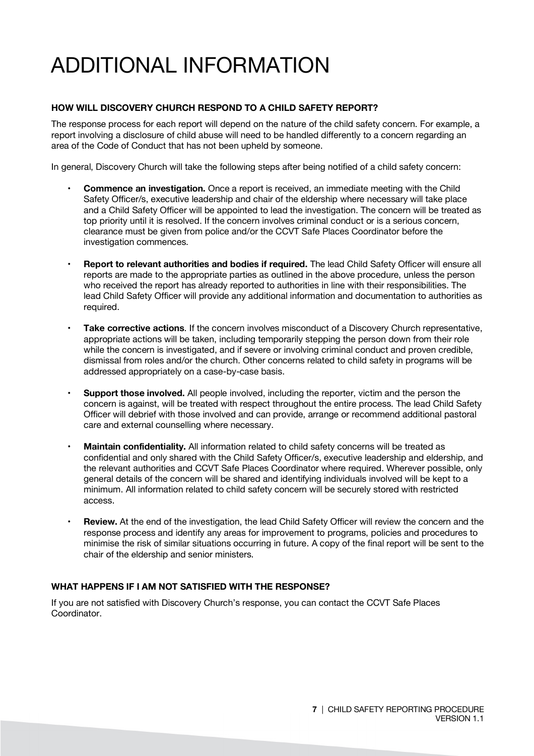## ADDITIONAL INFORMATION

#### **HOW WILL DISCOVERY CHURCH RESPOND TO A CHILD SAFETY REPORT?**

The response process for each report will depend on the nature of the child safety concern. For example, a report involving a disclosure of child abuse will need to be handled differently to a concern regarding an area of the Code of Conduct that has not been upheld by someone.

In general, Discovery Church will take the following steps after being notified of a child safety concern:

- **Commence an investigation.** Once a report is received, an immediate meeting with the Child Safety Officer/s, executive leadership and chair of the eldership where necessary will take place and a Child Safety Officer will be appointed to lead the investigation. The concern will be treated as top priority until it is resolved. If the concern involves criminal conduct or is a serious concern, clearance must be given from police and/or the CCVT Safe Places Coordinator before the investigation commences.
- **Report to relevant authorities and bodies if required.** The lead Child Safety Officer will ensure all reports are made to the appropriate parties as outlined in the above procedure, unless the person who received the report has already reported to authorities in line with their responsibilities. The lead Child Safety Officer will provide any additional information and documentation to authorities as required.
- **Take corrective actions**. If the concern involves misconduct of a Discovery Church representative, appropriate actions will be taken, including temporarily stepping the person down from their role while the concern is investigated, and if severe or involving criminal conduct and proven credible. dismissal from roles and/or the church. Other concerns related to child safety in programs will be addressed appropriately on a case-by-case basis.
- **Support those involved.** All people involved, including the reporter, victim and the person the concern is against, will be treated with respect throughout the entire process. The lead Child Safety Officer will debrief with those involved and can provide, arrange or recommend additional pastoral care and external counselling where necessary.
- **Maintain confidentiality.** All information related to child safety concerns will be treated as confidential and only shared with the Child Safety Officer/s, executive leadership and eldership, and the relevant authorities and CCVT Safe Places Coordinator where required. Wherever possible, only general details of the concern will be shared and identifying individuals involved will be kept to a minimum. All information related to child safety concern will be securely stored with restricted access.
- **Review.** At the end of the investigation, the lead Child Safety Officer will review the concern and the response process and identify any areas for improvement to programs, policies and procedures to minimise the risk of similar situations occurring in future. A copy of the final report will be sent to the chair of the eldership and senior ministers.

#### **WHAT HAPPENS IF I AM NOT SATISFIED WITH THE RESPONSE?**

If you are not satisfied with Discovery Church's response, you can contact the CCVT Safe Places Coordinator.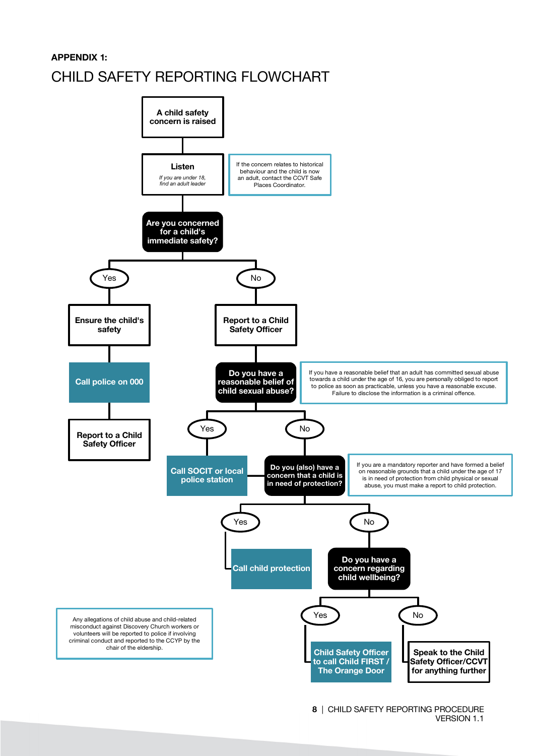#### **APPENDIX 1:**

### CHILD SAFETY REPORTING FLOWCHART

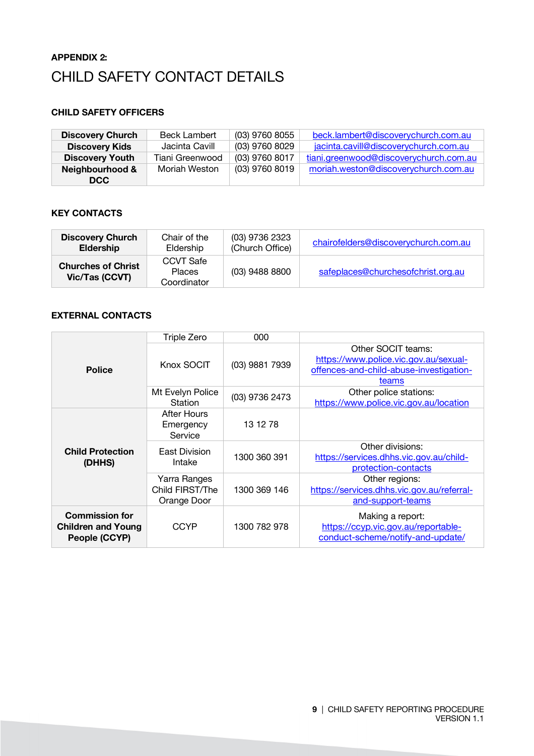### **APPENDIX 2:** CHILD SAFETY CONTACT DETAILS

#### **CHILD SAFETY OFFICERS**

| <b>Discovery Church</b> | <b>Beck Lambert</b> | (03) 9760 8055 | beck.lambert@discoverychurch.com.au    |
|-------------------------|---------------------|----------------|----------------------------------------|
| <b>Discovery Kids</b>   | Jacinta Cavill      | (03) 9760 8029 | jacinta.cavill@discoverychurch.com.au  |
| <b>Discovery Youth</b>  | Tiani Greenwood     | (03) 9760 8017 | tiani.greenwood@discoverychurch.com.au |
| Neighbourhood &         | Moriah Weston       | (03) 9760 8019 | moriah.weston@discoverychurch.com.au   |
| DCC                     |                     |                |                                        |

#### **KEY CONTACTS**

| <b>Discovery Church</b>                     | Chair of the                              | (03) 9736 2323  | chairofelders@discoverychurch.com.au |
|---------------------------------------------|-------------------------------------------|-----------------|--------------------------------------|
| <b>Eldership</b>                            | Eldership                                 | (Church Office) |                                      |
| <b>Churches of Christ</b><br>Vic/Tas (CCVT) | CCVT Safe<br><b>Places</b><br>Coordinator | (03) 9488 8800  | safeplaces@churchesofchrist.org.au   |

#### **EXTERNAL CONTACTS**

|                                                                     | Triple Zero                                    | 000            |                                                                                                                 |
|---------------------------------------------------------------------|------------------------------------------------|----------------|-----------------------------------------------------------------------------------------------------------------|
| <b>Police</b>                                                       | Knox SOCIT                                     | (03) 9881 7939 | Other SOCIT teams:<br>https://www.police.vic.gov.au/sexual-<br>offences-and-child-abuse-investigation-<br>teams |
|                                                                     | Mt Evelyn Police<br><b>Station</b>             | (03) 9736 2473 | Other police stations:<br>https://www.police.vic.gov.au/location                                                |
|                                                                     | <b>After Hours</b><br>Emergency<br>Service     | 13 12 78       |                                                                                                                 |
| <b>Child Protection</b><br>(DHHS)                                   | East Division<br>Intake                        | 1300 360 391   | Other divisions:<br>https://services.dhhs.vic.gov.au/child-<br>protection-contacts                              |
|                                                                     | Yarra Ranges<br>Child FIRST/The<br>Orange Door | 1300 369 146   | Other regions:<br>https://services.dhhs.vic.gov.au/referral-<br>and-support-teams                               |
| <b>Commission for</b><br><b>Children and Young</b><br>People (CCYP) | <b>CCYP</b>                                    | 1300 782 978   | Making a report:<br>https://ccyp.vic.gov.au/reportable-<br>conduct-scheme/notify-and-update/                    |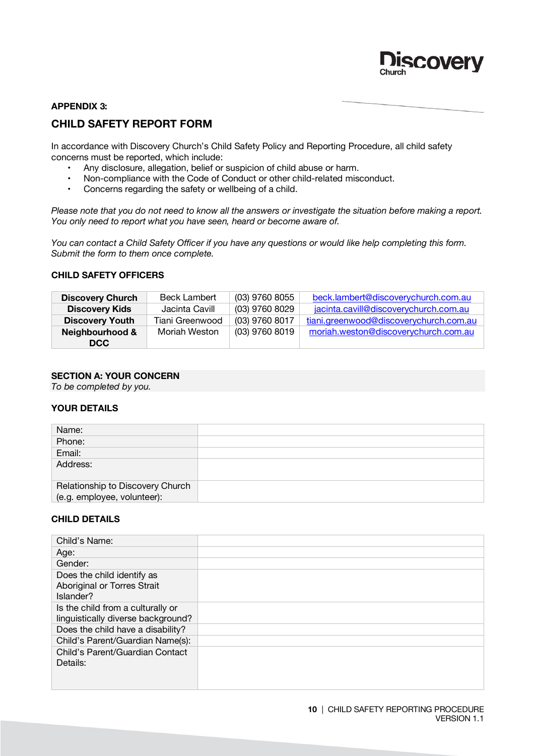

#### **APPENDIX 3:**

#### **CHILD SAFETY REPORT FORM**

In accordance with Discovery Church's Child Safety Policy and Reporting Procedure, all child safety concerns must be reported, which include:

- Any disclosure, allegation, belief or suspicion of child abuse or harm.
- Non-compliance with the Code of Conduct or other child-related misconduct.
- Concerns regarding the safety or wellbeing of a child.

*Please note that you do not need to know all the answers or investigate the situation before making a report. You only need to report what you have seen, heard or become aware of.* 

*You can contact a Child Safety Officer if you have any questions or would like help completing this form. Submit the form to them once complete.* 

#### **CHILD SAFETY OFFICERS**

| <b>Discovery Church</b> | <b>Beck Lambert</b> | (03) 9760 8055 | beck.lambert@discoverychurch.com.au    |
|-------------------------|---------------------|----------------|----------------------------------------|
| <b>Discovery Kids</b>   | Jacinta Cavill      | (03) 9760 8029 | jacinta.cavill@discoverychurch.com.au  |
| <b>Discovery Youth</b>  | Tiani Greenwood     | (03) 9760 8017 | tiani.greenwood@discoverychurch.com.au |
| Neighbourhood &         | Moriah Weston       | (03) 9760 8019 | moriah.weston@discoverychurch.com.au   |
| DCC                     |                     |                |                                        |

#### **SECTION A: YOUR CONCERN**

*To be completed by you.*

#### **YOUR DETAILS**

| Name:                                                           |  |
|-----------------------------------------------------------------|--|
| Phone:                                                          |  |
| Email:                                                          |  |
| Address:                                                        |  |
| Relationship to Discovery Church<br>(e.g. employee, volunteer): |  |

#### **CHILD DETAILS**

| Child's Name:                      |  |
|------------------------------------|--|
| Age:                               |  |
| Gender:                            |  |
| Does the child identify as         |  |
| Aboriginal or Torres Strait        |  |
| Islander?                          |  |
| Is the child from a culturally or  |  |
| linguistically diverse background? |  |
| Does the child have a disability?  |  |
| Child's Parent/Guardian Name(s):   |  |
| Child's Parent/Guardian Contact    |  |
| Details:                           |  |
|                                    |  |
|                                    |  |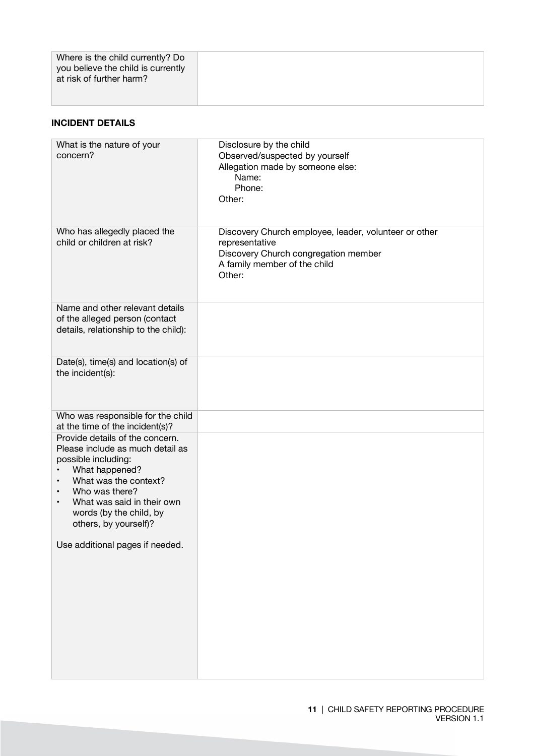#### **INCIDENT DETAILS**

| What is the nature of your<br>concern?                                                                                                                                                                                                                                           | Disclosure by the child<br>Observed/suspected by yourself<br>Allegation made by someone else:<br>Name:<br>Phone:                                          |
|----------------------------------------------------------------------------------------------------------------------------------------------------------------------------------------------------------------------------------------------------------------------------------|-----------------------------------------------------------------------------------------------------------------------------------------------------------|
|                                                                                                                                                                                                                                                                                  | Other:                                                                                                                                                    |
| Who has allegedly placed the<br>child or children at risk?                                                                                                                                                                                                                       | Discovery Church employee, leader, volunteer or other<br>representative<br>Discovery Church congregation member<br>A family member of the child<br>Other: |
| Name and other relevant details<br>of the alleged person (contact<br>details, relationship to the child):                                                                                                                                                                        |                                                                                                                                                           |
| Date(s), time(s) and location(s) of<br>the incident(s):                                                                                                                                                                                                                          |                                                                                                                                                           |
| Who was responsible for the child<br>at the time of the incident(s)?                                                                                                                                                                                                             |                                                                                                                                                           |
| Provide details of the concern.<br>Please include as much detail as<br>possible including:<br>What happened?<br>What was the context?<br>$\bullet$<br>Who was there?<br>$\bullet$<br>What was said in their own<br>$\bullet$<br>words (by the child, by<br>others, by yourself)? |                                                                                                                                                           |
| Use additional pages if needed.                                                                                                                                                                                                                                                  |                                                                                                                                                           |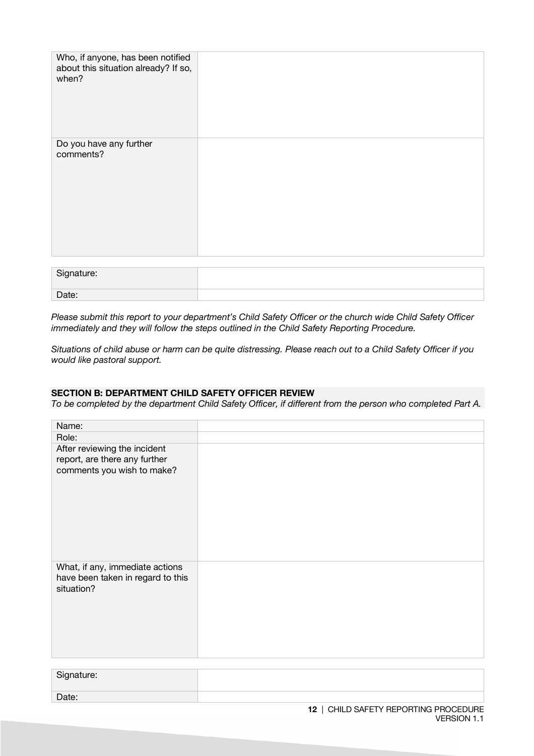| Who, if anyone, has been notified<br>about this situation already? If so,<br>when? |  |
|------------------------------------------------------------------------------------|--|
| Do you have any further<br>comments?                                               |  |

| Signature: |  |
|------------|--|
| Date:      |  |

*Please submit this report to your department's Child Safety Officer or the church wide Child Safety Officer immediately and they will follow the steps outlined in the Child Safety Reporting Procedure.* 

*Situations of child abuse or harm can be quite distressing. Please reach out to a Child Safety Officer if you would like pastoral support.*

#### **SECTION B: DEPARTMENT CHILD SAFETY OFFICER REVIEW**

*To be completed by the department Child Safety Officer, if different from the person who completed Part A.*

| Name:                                                                                       |  |
|---------------------------------------------------------------------------------------------|--|
| Role:                                                                                       |  |
| After reviewing the incident<br>report, are there any further<br>comments you wish to make? |  |
| What, if any, immediate actions<br>have been taken in regard to this<br>situation?          |  |

| Signature: |  |
|------------|--|
| Date:      |  |